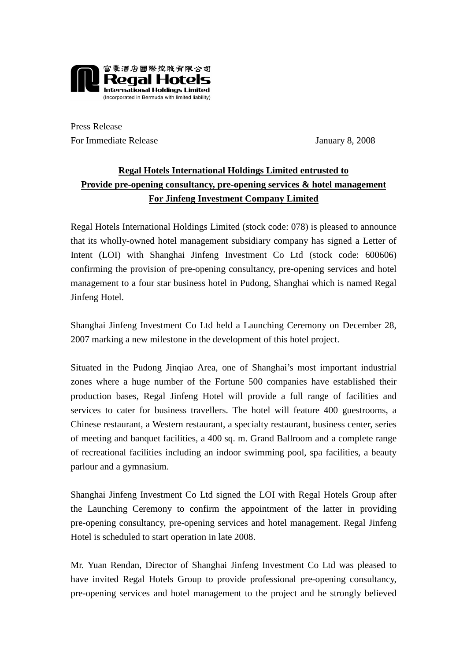

Press Release For Immediate Release January 8, 2008

## **Regal Hotels International Holdings Limited entrusted to Provide pre-opening consultancy, pre-opening services & hotel management For Jinfeng Investment Company Limited**

Regal Hotels International Holdings Limited (stock code: 078) is pleased to announce that its wholly-owned hotel management subsidiary company has signed a Letter of Intent (LOI) with Shanghai Jinfeng Investment Co Ltd (stock code: 600606) confirming the provision of pre-opening consultancy, pre-opening services and hotel management to a four star business hotel in Pudong, Shanghai which is named Regal Jinfeng Hotel.

Shanghai Jinfeng Investment Co Ltd held a Launching Ceremony on December 28, 2007 marking a new milestone in the development of this hotel project.

Situated in the Pudong Jinqiao Area, one of Shanghai's most important industrial zones where a huge number of the Fortune 500 companies have established their production bases, Regal Jinfeng Hotel will provide a full range of facilities and services to cater for business travellers. The hotel will feature 400 guestrooms, a Chinese restaurant, a Western restaurant, a specialty restaurant, business center, series of meeting and banquet facilities, a 400 sq. m. Grand Ballroom and a complete range of recreational facilities including an indoor swimming pool, spa facilities, a beauty parlour and a gymnasium.

Shanghai Jinfeng Investment Co Ltd signed the LOI with Regal Hotels Group after the Launching Ceremony to confirm the appointment of the latter in providing pre-opening consultancy, pre-opening services and hotel management. Regal Jinfeng Hotel is scheduled to start operation in late 2008.

Mr. Yuan Rendan, Director of Shanghai Jinfeng Investment Co Ltd was pleased to have invited Regal Hotels Group to provide professional pre-opening consultancy, pre-opening services and hotel management to the project and he strongly believed